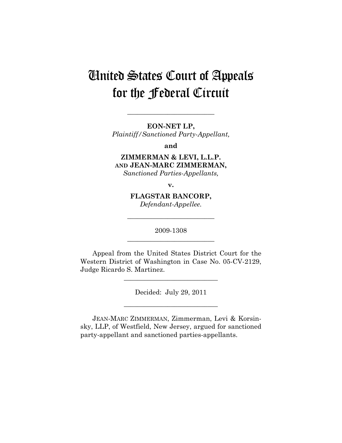# United States Court of Appeals for the Federal Circuit

**EON-NET LP,**  *Plaintiff/Sanctioned Party-Appellant,* 

**\_\_\_\_\_\_\_\_\_\_\_\_\_\_\_\_\_\_\_\_\_\_\_\_\_\_** 

**and** 

**ZIMMERMAN & LEVI, L.L.P. AND JEAN-MARC ZIMMERMAN,**  *Sanctioned Parties-Appellants,* 

**v.** 

**FLAGSTAR BANCORP,**  *Defendant-Appellee.* 

2009-1308 **\_\_\_\_\_\_\_\_\_\_\_\_\_\_\_\_\_\_\_\_\_\_\_\_\_\_** 

**\_\_\_\_\_\_\_\_\_\_\_\_\_\_\_\_\_\_\_\_\_\_\_\_\_\_** 

Appeal from the United States District Court for the Western District of Washington in Case No. 05-CV-2129, Judge Ricardo S. Martinez.

**\_\_\_\_\_\_\_\_\_\_\_\_\_\_\_\_\_\_\_\_\_\_\_\_\_\_\_\_** 

Decided: July 29, 2011

**\_\_\_\_\_\_\_\_\_\_\_\_\_\_\_\_\_\_\_\_\_\_\_\_\_\_\_\_** 

JEAN-MARC ZIMMERMAN, Zimmerman, Levi & Korsinsky, LLP, of Westfield, New Jersey, argued for sanctioned party-appellant and sanctioned parties-appellants.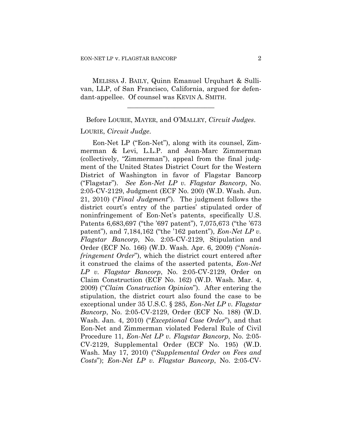MELISSA J. BAILY, Quinn Emanuel Urquhart & Sullivan, LLP, of San Francisco, California, argued for defendant-appellee. Of counsel was KEVIN A. SMITH.

**\_\_\_\_\_\_\_\_\_\_\_\_\_\_\_\_\_\_\_\_\_\_\_\_\_\_** 

Before LOURIE, MAYER, and O'MALLEY, *Circuit Judges*.

## LOURIE, *Circuit Judge*.

Eon-Net LP ("Eon-Net"), along with its counsel, Zimmerman & Levi, L.L.P. and Jean-Marc Zimmerman (collectively, "Zimmerman"), appeal from the final judgment of the United States District Court for the Western District of Washington in favor of Flagstar Bancorp ("Flagstar"). *See Eon-Net LP v. Flagstar Bancorp*, No. 2:05-CV-2129, Judgment (ECF No. 200) (W.D. Wash. Jun. 21, 2010) ("*Final Judgment*"). The judgment follows the district court's entry of the parties' stipulated order of noninfringement of Eon-Net's patents, specifically U.S. Patents 6,683,697 ("the '697 patent"), 7,075,673 ("the '673 patent"), and 7,184,162 ("the '162 patent"), *Eon-Net LP v. Flagstar Bancorp*, No. 2:05-CV-2129, Stipulation and Order (ECF No. 166) (W.D. Wash. Apr. 6, 2009) ("*Noninfringement Order*"), which the district court entered after it construed the claims of the asserted patents, *Eon-Net LP v. Flagstar Bancorp*, No. 2:05-CV-2129, Order on Claim Construction (ECF No. 162) (W.D. Wash. Mar. 4, 2009) ("*Claim Construction Opinion*"). After entering the stipulation, the district court also found the case to be exceptional under 35 U.S.C. § 285, *Eon-Net LP v. Flagstar Bancorp*, No. 2:05-CV-2129, Order (ECF No. 188) (W.D. Wash. Jan. 4, 2010) ("*Exceptional Case Order*"), and that Eon-Net and Zimmerman violated Federal Rule of Civil Procedure 11, *Eon-Net LP v. Flagstar Bancorp*, No. 2:05- CV-2129, Supplemental Order (ECF No. 195) (W.D. Wash. May 17, 2010) ("*Supplemental Order on Fees and Costs*"); *Eon-Net LP v. Flagstar Bancorp*, No. 2:05-CV-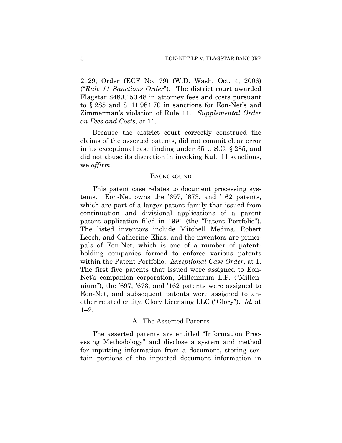2129, Order (ECF No. 79) (W.D. Wash. Oct. 4, 2006) ("*Rule 11 Sanctions Order*"). The district court awarded Flagstar \$489,150.48 in attorney fees and costs pursuant to § 285 and \$141,984.70 in sanctions for Eon-Net's and Zimmerman's violation of Rule 11. *Supplemental Order on Fees and Costs*, at 11.

Because the district court correctly construed the claims of the asserted patents, did not commit clear error in its exceptional case finding under 35 U.S.C. § 285, and did not abuse its discretion in invoking Rule 11 sanctions, we *affirm*.

#### **BACKGROUND**

This patent case relates to document processing systems. Eon-Net owns the '697, '673, and '162 patents, which are part of a larger patent family that issued from continuation and divisional applications of a parent patent application filed in 1991 (the "Patent Portfolio"). The listed inventors include Mitchell Medina, Robert Leech, and Catherine Elias, and the inventors are principals of Eon-Net, which is one of a number of patentholding companies formed to enforce various patents within the Patent Portfolio. *Exceptional Case Order*, at 1. The first five patents that issued were assigned to Eon-Net's companion corporation, Millennium L.P. ("Millennium"), the '697, '673, and '162 patents were assigned to Eon-Net, and subsequent patents were assigned to another related entity, Glory Licensing LLC ("Glory"). *Id.* at 1–2.

## A. The Asserted Patents

The asserted patents are entitled "Information Processing Methodology" and disclose a system and method for inputting information from a document, storing certain portions of the inputted document information in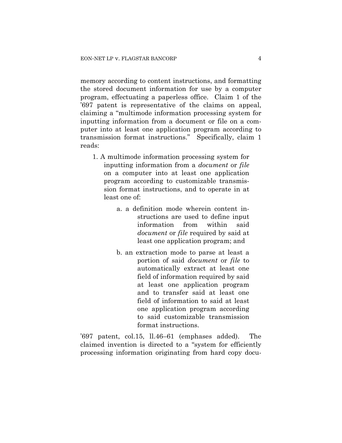memory according to content instructions, and formatting the stored document information for use by a computer program, effectuating a paperless office. Claim 1 of the '697 patent is representative of the claims on appeal, claiming a "multimode information processing system for inputting information from a document or file on a computer into at least one application program according to transmission format instructions." Specifically, claim 1 reads:

- 1. A multimode information processing system for inputting information from a *document* or *file* on a computer into at least one application program according to customizable transmission format instructions, and to operate in at least one of:
	- a. a definition mode wherein content instructions are used to define input information from within said *document* or *file* required by said at least one application program; and
	- b. an extraction mode to parse at least a portion of said *document* or *file* to automatically extract at least one field of information required by said at least one application program and to transfer said at least one field of information to said at least one application program according to said customizable transmission format instructions.

'697 patent, col.15, ll.46–61 (emphases added). The claimed invention is directed to a "system for efficiently processing information originating from hard copy docu-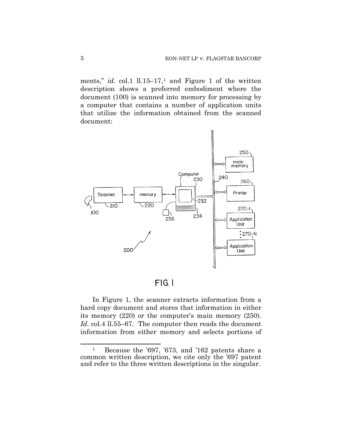ments," *id.* col.[1](#page-4-0)  $11.15-17$ ,<sup>1</sup> and Figure 1 of the written description shows a preferred embodiment where the document (100) is scanned into memory for processing by a computer that contains a number of application units that utilize the information obtained from the scanned document:



 $FIG. 1$ 

In Figure 1, the scanner extracts information from a hard copy document and stores that information in either its memory (220) or the computer's main memory (250). *Id.* col.4 ll.55–67. The computer then reads the document information from either memory and selects portions of

 $\overline{a}$ 

<span id="page-4-0"></span><sup>1</sup> Because the '697, '673, and '162 patents share a common written description, we cite only the '697 patent and refer to the three written descriptions in the singular.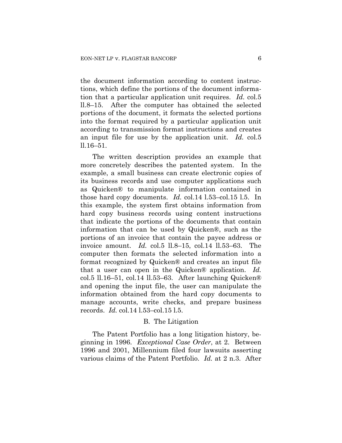the document information according to content instructions, which define the portions of the document information that a particular application unit requires. *Id.* col.5 ll.8–15. After the computer has obtained the selected portions of the document, it formats the selected portions into the format required by a particular application unit according to transmission format instructions and creates an input file for use by the application unit. *Id.* col.5 ll.16–51.

The written description provides an example that more concretely describes the patented system. In the example, a small business can create electronic copies of its business records and use computer applications such as Quicken® to manipulate information contained in those hard copy documents. *Id.* col.14 l.53–col.15 l.5. In this example, the system first obtains information from hard copy business records using content instructions that indicate the portions of the documents that contain information that can be used by Quicken®, such as the portions of an invoice that contain the payee address or invoice amount. *Id.* col.5 ll.8–15, col.14 ll.53–63. The computer then formats the selected information into a format recognized by Quicken® and creates an input file that a user can open in the Quicken® application. *Id.* col.5 ll.16–51, col.14 ll.53–63. After launching Quicken® and opening the input file, the user can manipulate the information obtained from the hard copy documents to manage accounts, write checks, and prepare business records. *Id.* col.14 l.53–col.15 l.5.

### B. The Litigation

The Patent Portfolio has a long litigation history, beginning in 1996. *Exceptional Case Order*, at 2. Between 1996 and 2001, Millennium filed four lawsuits asserting various claims of the Patent Portfolio. *Id.* at 2 n.3. After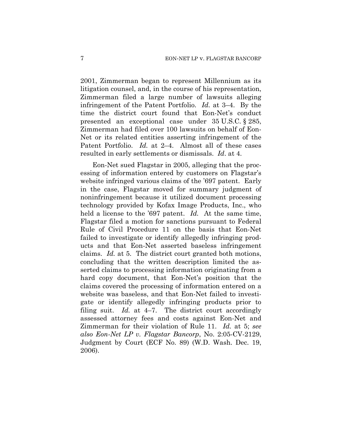2001, Zimmerman began to represent Millennium as its litigation counsel, and, in the course of his representation, Zimmerman filed a large number of lawsuits alleging infringement of the Patent Portfolio. *Id.* at 3–4. By the time the district court found that Eon-Net's conduct presented an exceptional case under 35 U.S.C. § 285, Zimmerman had filed over 100 lawsuits on behalf of Eon-Net or its related entities asserting infringement of the Patent Portfolio. *Id.* at 2–4. Almost all of these cases resulted in early settlements or dismissals. *Id*. at 4.

Eon-Net sued Flagstar in 2005, alleging that the processing of information entered by customers on Flagstar's website infringed various claims of the '697 patent. Early in the case, Flagstar moved for summary judgment of noninfringement because it utilized document processing technology provided by Kofax Image Products, Inc., who held a license to the '697 patent. *Id.* At the same time, Flagstar filed a motion for sanctions pursuant to Federal Rule of Civil Procedure 11 on the basis that Eon-Net failed to investigate or identify allegedly infringing products and that Eon-Net asserted baseless infringement claims. *Id.* at 5. The district court granted both motions, concluding that the written description limited the asserted claims to processing information originating from a hard copy document, that Eon-Net's position that the claims covered the processing of information entered on a website was baseless, and that Eon-Net failed to investigate or identify allegedly infringing products prior to filing suit. *Id.* at 4–7. The district court accordingly assessed attorney fees and costs against Eon-Net and Zimmerman for their violation of Rule 11. *Id.* at 5; *see also Eon-Net LP v. Flagstar Bancorp*, No. 2:05-CV-2129, Judgment by Court (ECF No. 89) (W.D. Wash. Dec. 19, 2006).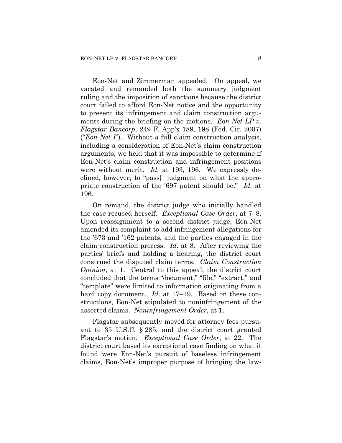Eon-Net and Zimmerman appealed. On appeal, we vacated and remanded both the summary judgment ruling and the imposition of sanctions because the district court failed to afford Eon-Net notice and the opportunity to present its infringement and claim construction arguments during the briefing on the motions. *Eon-Net LP v. Flagstar Bancorp*, 249 F. App'x 189, 198 (Fed. Cir. 2007) ("*Eon-Net I*"). Without a full claim construction analysis, including a consideration of Eon-Net's claim construction arguments, we held that it was impossible to determine if Eon-Net's claim construction and infringement positions were without merit. *Id.* at 193, 196. We expressly declined, however, to "pass[] judgment on what the appropriate construction of the '697 patent should be." *Id.* at 196.

On remand, the district judge who initially handled the case recused herself. *Exceptional Case Order*, at 7–8. Upon reassignment to a second district judge, Eon-Net amended its complaint to add infringement allegations for the '673 and '162 patents, and the parties engaged in the claim construction process. *Id.* at 8. After reviewing the parties' briefs and holding a hearing, the district court construed the disputed claim terms. *Claim Construction Opinion*, at 1. Central to this appeal, the district court concluded that the terms "document," "file," "extract," and "template" were limited to information originating from a hard copy document. *Id.* at 17–19. Based on these constructions, Eon-Net stipulated to noninfringement of the asserted claims. *Noninfringement Order*, at 1.

Flagstar subsequently moved for attorney fees pursuant to 35 U.S.C. § 285, and the district court granted Flagstar's motion. *Exceptional Case Order*, at 22. The district court based its exceptional case finding on what it found were Eon-Net's pursuit of baseless infringement claims, Eon-Net's improper purpose of bringing the law-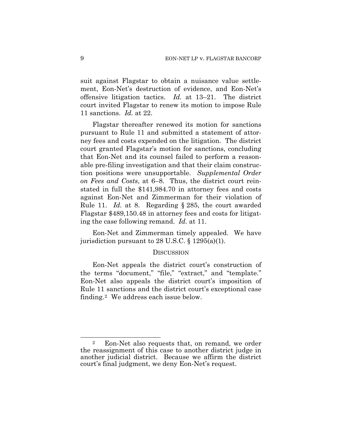suit against Flagstar to obtain a nuisance value settlement, Eon-Net's destruction of evidence, and Eon-Net's offensive litigation tactics. *Id.* at 13–21. The district court invited Flagstar to renew its motion to impose Rule 11 sanctions. *Id.* at 22.

Flagstar thereafter renewed its motion for sanctions pursuant to Rule 11 and submitted a statement of attorney fees and costs expended on the litigation. The district court granted Flagstar's motion for sanctions, concluding that Eon-Net and its counsel failed to perform a reasonable pre-filing investigation and that their claim construction positions were unsupportable. *Supplemental Order on Fees and Costs*, at 6–8. Thus, the district court reinstated in full the \$141,984.70 in attorney fees and costs against Eon-Net and Zimmerman for their violation of Rule 11. *Id.* at 8. Regarding § 285, the court awarded Flagstar \$489,150.48 in attorney fees and costs for litigating the case following remand. *Id.* at 11.

Eon-Net and Zimmerman timely appealed. We have jurisdiction pursuant to 28 U.S.C. § 1295(a)(1).

## **DISCUSSION**

Eon-Net appeals the district court's construction of the terms "document," "file," "extract," and "template." Eon-Net also appeals the district court's imposition of Rule 11 sanctions and the district court's exceptional case finding.[2](#page-8-0) We address each issue below.

 $\overline{a}$ 

<span id="page-8-0"></span><sup>2</sup> Eon-Net also requests that, on remand, we order the reassignment of this case to another district judge in another judicial district. Because we affirm the district court's final judgment, we deny Eon-Net's request.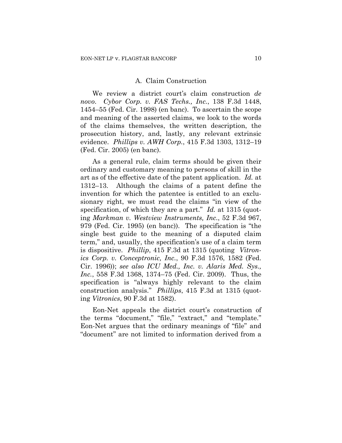#### A. Claim Construction

We review a district court's claim construction *de novo*. *Cybor Corp. v. FAS Techs., Inc.*, 138 F.3d 1448, 1454–55 (Fed. Cir. 1998) (en banc). To ascertain the scope and meaning of the asserted claims, we look to the words of the claims themselves, the written description, the prosecution history, and, lastly, any relevant extrinsic evidence. *Phillips v. AWH Corp.*, 415 F.3d 1303, 1312–19 (Fed. Cir. 2005) (en banc).

As a general rule, claim terms should be given their ordinary and customary meaning to persons of skill in the art as of the effective date of the patent application. *Id.* at 1312–13. Although the claims of a patent define the invention for which the patentee is entitled to an exclusionary right, we must read the claims "in view of the specification, of which they are a part." *Id.* at 1315 (quoting *Markman v. Westview Instruments, Inc.*, 52 F.3d 967, 979 (Fed. Cir. 1995) (en banc)). The specification is "the single best guide to the meaning of a disputed claim term," and, usually, the specification's use of a claim term is dispositive. *Phillip*, 415 F.3d at 1315 (quoting *Vitronics Corp. v. Conceptronic, Inc.*, 90 F.3d 1576, 1582 (Fed. Cir. 1996)); *see also ICU Med., Inc. v. Alaris Med. Sys., Inc.*, 558 F.3d 1368, 1374–75 (Fed. Cir. 2009). Thus, the specification is "always highly relevant to the claim construction analysis." *Phillips*, 415 F.3d at 1315 (quoting *Vitronics*, 90 F.3d at 1582).

Eon-Net appeals the district court's construction of the terms "document," "file," "extract," and "template." Eon-Net argues that the ordinary meanings of "file" and "document" are not limited to information derived from a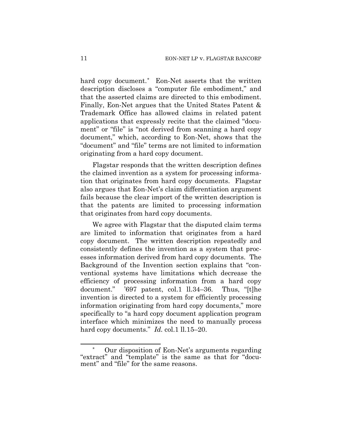hard copy document.[\\*](#page-10-0) Eon-Net asserts that the written description discloses a "computer file embodiment," and that the asserted claims are directed to this embodiment. Finally, Eon-Net argues that the United States Patent & Trademark Office has allowed claims in related patent applications that expressly recite that the claimed "document" or "file" is "not derived from scanning a hard copy document," which, according to Eon-Net, shows that the "document" and "file" terms are not limited to information originating from a hard copy document.

Flagstar responds that the written description defines the claimed invention as a system for processing information that originates from hard copy documents. Flagstar also argues that Eon-Net's claim differentiation argument fails because the clear import of the written description is that the patents are limited to processing information that originates from hard copy documents.

We agree with Flagstar that the disputed claim terms are limited to information that originates from a hard copy document. The written description repeatedly and consistently defines the invention as a system that processes information derived from hard copy documents. The Background of the Invention section explains that "conventional systems have limitations which decrease the efficiency of processing information from a hard copy document." '697 patent, col.1 ll.34–36. Thus, "[t]he invention is directed to a system for efficiently processing information originating from hard copy documents," more specifically to "a hard copy document application program interface which minimizes the need to manually process hard copy documents." *Id.* col.1 ll.15–20.

1

<span id="page-10-0"></span>Our disposition of Eon-Net's arguments regarding "extract" and "template" is the same as that for "document" and "file" for the same reasons.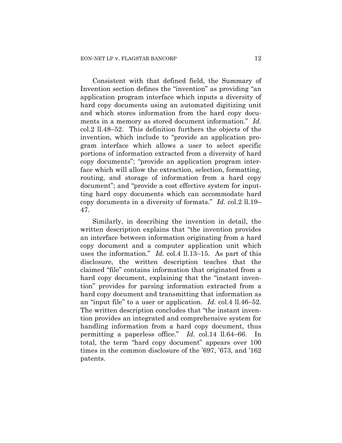Consistent with that defined field, the Summary of Invention section defines the "invention" as providing "an application program interface which inputs a diversity of hard copy documents using an automated digitizing unit and which stores information from the hard copy documents in a memory as stored document information." *Id.* col.2 ll.48–52. This definition furthers the objects of the invention, which include to "provide an application program interface which allows a user to select specific portions of information extracted from a diversity of hard copy documents"; "provide an application program interface which will allow the extraction, selection, formatting, routing, and storage of information from a hard copy document"; and "provide a cost effective system for inputting hard copy documents which can accommodate hard copy documents in a diversity of formats." *Id.* col.2 ll.19– 47.

Similarly, in describing the invention in detail, the written description explains that "the invention provides an interface between information originating from a hard copy document and a computer application unit which uses the information." *Id.* col.4 ll.13–15. As part of this disclosure, the written description teaches that the claimed "file" contains information that originated from a hard copy document, explaining that the "instant invention" provides for parsing information extracted from a hard copy document and transmitting that information as an "input file" to a user or application. *Id.* col.4 ll.46–52. The written description concludes that "the instant invention provides an integrated and comprehensive system for handling information from a hard copy document, thus permitting a paperless office." *Id.* col.14 ll.64–66. In total, the term "hard copy document" appears over 100 times in the common disclosure of the '697, '673, and '162 patents.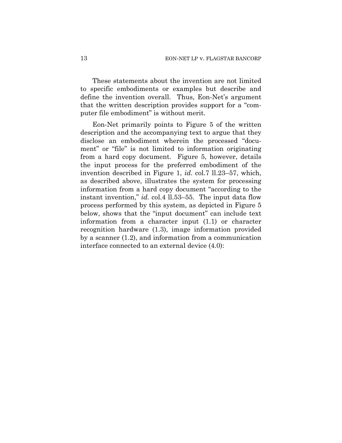These statements about the invention are not limited to specific embodiments or examples but describe and define the invention overall. Thus, Eon-Net's argument that the written description provides support for a "computer file embodiment" is without merit.

Eon-Net primarily points to Figure 5 of the written description and the accompanying text to argue that they disclose an embodiment wherein the processed "document" or "file" is not limited to information originating from a hard copy document. Figure 5, however, details the input process for the preferred embodiment of the invention described in Figure 1, *id.* col.7 ll.23–57, which, as described above, illustrates the system for processing information from a hard copy document "according to the instant invention," *id.* col.4 ll.53–55. The input data flow process performed by this system, as depicted in Figure 5 below, shows that the "input document" can include text information from a character input (1.1) or character recognition hardware (1.3), image information provided by a scanner (1.2), and information from a communication interface connected to an external device (4.0):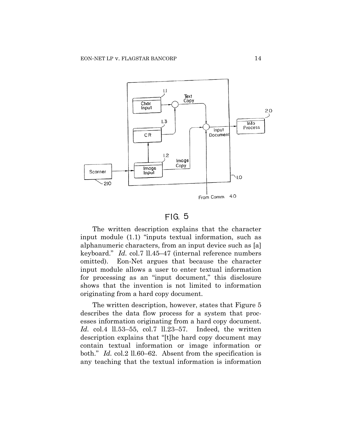

# $FIG. 5$

The written description explains that the character input module (1.1) "inputs textual information, such as alphanumeric characters, from an input device such as [a] keyboard." *Id.* col.7 ll.45–47 (internal reference numbers omitted). Eon-Net argues that because the character input module allows a user to enter textual information for processing as an "input document," this disclosure shows that the invention is not limited to information originating from a hard copy document.

The written description, however, states that Figure 5 describes the data flow process for a system that processes information originating from a hard copy document. *Id.* col.4 ll.53–55, col.7 ll.23–57. Indeed, the written description explains that "[t]he hard copy document may contain textual information or image information or both." *Id.* col.2 ll.60–62. Absent from the specification is any teaching that the textual information is information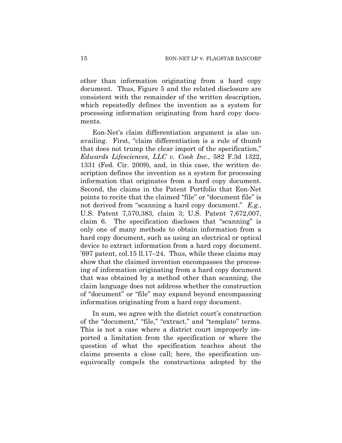other than information originating from a hard copy document. Thus, Figure 5 and the related disclosure are consistent with the remainder of the written description, which repeatedly defines the invention as a system for processing information originating from hard copy documents.

Eon-Net's claim differentiation argument is also unavailing. First, "claim differentiation is a rule of thumb that does not trump the clear import of the specification," *Edwards Lifesciences, LLC v. Cook Inc.*, 582 F.3d 1322, 1331 (Fed. Cir. 2009), and, in this case, the written description defines the invention as a system for processing information that originates from a hard copy document. Second, the claims in the Patent Portfolio that Eon-Net points to recite that the claimed "file" or "document file" is not derived from "scanning a hard copy document." *E.g.*, U.S. Patent 7,570,383, claim 3; U.S. Patent 7,672,007, claim 6. The specification discloses that "scanning" is only one of many methods to obtain information from a hard copy document, such as using an electrical or optical device to extract information from a hard copy document. '697 patent, col.15 ll.17–24. Thus, while these claims may show that the claimed invention encompasses the processing of information originating from a hard copy document that was obtained by a method other than scanning, the claim language does not address whether the construction of "document" or "file" may expand beyond encompassing information originating from a hard copy document.

In sum, we agree with the district court's construction of the "document," "file," "extract," and "template" terms. This is not a case where a district court improperly imported a limitation from the specification or where the question of what the specification teaches about the claims presents a close call; here, the specification unequivocally compels the constructions adopted by the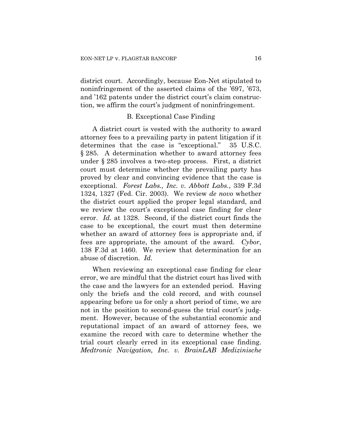district court. Accordingly, because Eon-Net stipulated to noninfringement of the asserted claims of the '697, '673, and '162 patents under the district court's claim construction, we affirm the court's judgment of noninfringement.

## B. Exceptional Case Finding

A district court is vested with the authority to award attorney fees to a prevailing party in patent litigation if it determines that the case is "exceptional." 35 U.S.C. § 285. A determination whether to award attorney fees under § 285 involves a two-step process. First, a district court must determine whether the prevailing party has proved by clear and convincing evidence that the case is exceptional. *Forest Labs., Inc. v. Abbott Labs.*, 339 F.3d 1324, 1327 (Fed. Cir. 2003). We review *de novo* whether the district court applied the proper legal standard, and we review the court's exceptional case finding for clear error. *Id.* at 1328. Second, if the district court finds the case to be exceptional, the court must then determine whether an award of attorney fees is appropriate and, if fees are appropriate, the amount of the award. *Cybor*, 138 F.3d at 1460. We review that determination for an abuse of discretion. *Id.*

When reviewing an exceptional case finding for clear error, we are mindful that the district court has lived with the case and the lawyers for an extended period. Having only the briefs and the cold record, and with counsel appearing before us for only a short period of time, we are not in the position to second-guess the trial court's judgment. However, because of the substantial economic and reputational impact of an award of attorney fees, we examine the record with care to determine whether the trial court clearly erred in its exceptional case finding. *Medtronic Navigation, Inc. v. BrainLAB Medizinische*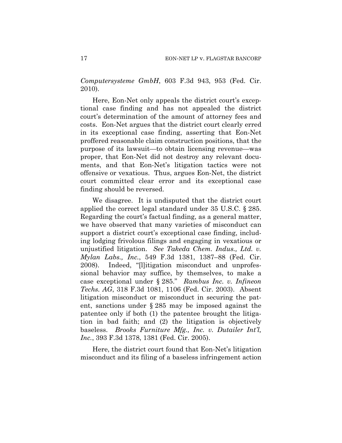*Computersysteme GmbH*, 603 F.3d 943, 953 (Fed. Cir. 2010).

Here, Eon-Net only appeals the district court's exceptional case finding and has not appealed the district court's determination of the amount of attorney fees and costs. Eon-Net argues that the district court clearly erred in its exceptional case finding, asserting that Eon-Net proffered reasonable claim construction positions, that the purpose of its lawsuit—to obtain licensing revenue—was proper, that Eon-Net did not destroy any relevant documents, and that Eon-Net's litigation tactics were not offensive or vexatious. Thus, argues Eon-Net, the district court committed clear error and its exceptional case finding should be reversed.

We disagree. It is undisputed that the district court applied the correct legal standard under 35 U.S.C. § 285. Regarding the court's factual finding, as a general matter, we have observed that many varieties of misconduct can support a district court's exceptional case finding, including lodging frivolous filings and engaging in vexatious or unjustified litigation. *See Takeda Chem. Indus., Ltd. v. Mylan Labs., Inc.*, 549 F.3d 1381, 1387–88 (Fed. Cir. 2008). Indeed, "[l]itigation misconduct and unprofessional behavior may suffice, by themselves, to make a case exceptional under § 285." *Rambus Inc. v. Infineon Techs. AG*, 318 F.3d 1081, 1106 (Fed. Cir. 2003). Absent litigation misconduct or misconduct in securing the patent, sanctions under § 285 may be imposed against the patentee only if both (1) the patentee brought the litigation in bad faith; and (2) the litigation is objectively baseless. *Brooks Furniture Mfg., Inc. v. Dutailer Int'l, Inc.*, 393 F.3d 1378, 1381 (Fed. Cir. 2005).

Here, the district court found that Eon-Net's litigation misconduct and its filing of a baseless infringement action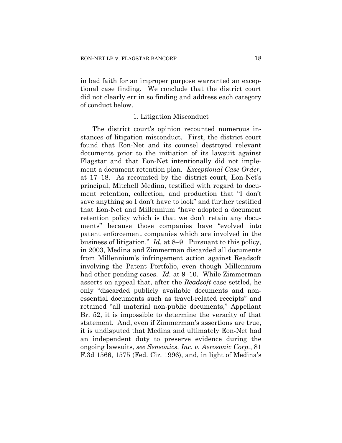in bad faith for an improper purpose warranted an exceptional case finding. We conclude that the district court did not clearly err in so finding and address each category of conduct below.

## 1. Litigation Misconduct

The district court's opinion recounted numerous instances of litigation misconduct. First, the district court found that Eon-Net and its counsel destroyed relevant documents prior to the initiation of its lawsuit against Flagstar and that Eon-Net intentionally did not implement a document retention plan. *Exceptional Case Order*, at 17–18. As recounted by the district court, Eon-Net's principal, Mitchell Medina, testified with regard to document retention, collection, and production that "I don't save anything so I don't have to look" and further testified that Eon-Net and Millennium "have adopted a document retention policy which is that we don't retain any documents" because those companies have "evolved into patent enforcement companies which are involved in the business of litigation." *Id.* at 8–9. Pursuant to this policy, in 2003, Medina and Zimmerman discarded all documents from Millennium's infringement action against Readsoft involving the Patent Portfolio, even though Millennium had other pending cases. *Id.* at 9–10. While Zimmerman asserts on appeal that, after the *Readsoft* case settled, he only "discarded publicly available documents and nonessential documents such as travel-related receipts" and retained "all material non-public documents," Appellant Br. 52, it is impossible to determine the veracity of that statement. And, even if Zimmerman's assertions are true, it is undisputed that Medina and ultimately Eon-Net had an independent duty to preserve evidence during the ongoing lawsuits, *see Sensonics, Inc. v. Aerosonic Corp.*, 81 F.3d 1566, 1575 (Fed. Cir. 1996), and, in light of Medina's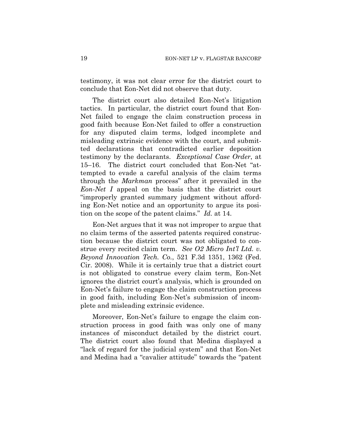testimony, it was not clear error for the district court to conclude that Eon-Net did not observe that duty.

The district court also detailed Eon-Net's litigation tactics. In particular, the district court found that Eon-Net failed to engage the claim construction process in good faith because Eon-Net failed to offer a construction for any disputed claim terms, lodged incomplete and misleading extrinsic evidence with the court, and submitted declarations that contradicted earlier deposition testimony by the declarants. *Exceptional Case Order*, at 15–16. The district court concluded that Eon-Net "attempted to evade a careful analysis of the claim terms through the *Markman* process" after it prevailed in the *Eon-Net I* appeal on the basis that the district court "improperly granted summary judgment without affording Eon-Net notice and an opportunity to argue its position on the scope of the patent claims." *Id.* at 14.

Eon-Net argues that it was not improper to argue that no claim terms of the asserted patents required construction because the district court was not obligated to construe every recited claim term. *See O2 Micro Int'l Ltd. v. Beyond Innovation Tech. Co.*, 521 F.3d 1351, 1362 (Fed. Cir. 2008). While it is certainly true that a district court is not obligated to construe every claim term, Eon-Net ignores the district court's analysis, which is grounded on Eon-Net's failure to engage the claim construction process in good faith, including Eon-Net's submission of incomplete and misleading extrinsic evidence.

Moreover, Eon-Net's failure to engage the claim construction process in good faith was only one of many instances of misconduct detailed by the district court. The district court also found that Medina displayed a "lack of regard for the judicial system" and that Eon-Net and Medina had a "cavalier attitude" towards the "patent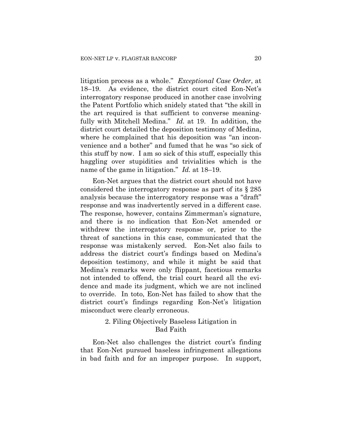litigation process as a whole." *Exceptional Case Order*, at 18–19. As evidence, the district court cited Eon-Net's interrogatory response produced in another case involving the Patent Portfolio which snidely stated that "the skill in the art required is that sufficient to converse meaningfully with Mitchell Medina." *Id.* at 19. In addition, the district court detailed the deposition testimony of Medina, where he complained that his deposition was "an inconvenience and a bother" and fumed that he was "so sick of this stuff by now. I am so sick of this stuff, especially this haggling over stupidities and trivialities which is the name of the game in litigation." *Id.* at 18–19.

Eon-Net argues that the district court should not have considered the interrogatory response as part of its § 285 analysis because the interrogatory response was a "draft" response and was inadvertently served in a different case. The response, however, contains Zimmerman's signature, and there is no indication that Eon-Net amended or withdrew the interrogatory response or, prior to the threat of sanctions in this case, communicated that the response was mistakenly served. Eon-Net also fails to address the district court's findings based on Medina's deposition testimony, and while it might be said that Medina's remarks were only flippant, facetious remarks not intended to offend, the trial court heard all the evidence and made its judgment, which we are not inclined to override. In toto, Eon-Net has failed to show that the district court's findings regarding Eon-Net's litigation misconduct were clearly erroneous.

# 2. Filing Objectively Baseless Litigation in Bad Faith

Eon-Net also challenges the district court's finding that Eon-Net pursued baseless infringement allegations in bad faith and for an improper purpose. In support,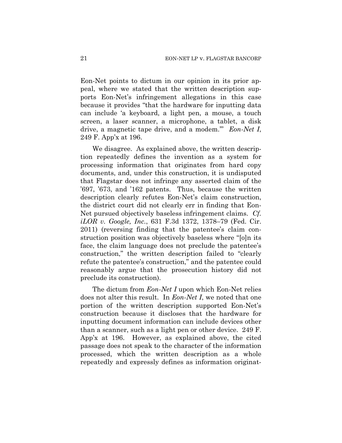Eon-Net points to dictum in our opinion in its prior appeal, where we stated that the written description supports Eon-Net's infringement allegations in this case because it provides "that the hardware for inputting data can include 'a keyboard, a light pen, a mouse, a touch screen, a laser scanner, a microphone, a tablet, a disk drive, a magnetic tape drive, and a modem.'" *Eon-Net I*, 249 F. App'x at 196.

We disagree. As explained above, the written description repeatedly defines the invention as a system for processing information that originates from hard copy documents, and, under this construction, it is undisputed that Flagstar does not infringe any asserted claim of the '697, '673, and '162 patents. Thus, because the written description clearly refutes Eon-Net's claim construction, the district court did not clearly err in finding that Eon-Net pursued objectively baseless infringement claims. *Cf. iLOR v. Google, Inc.*, 631 F.3d 1372, 1378–79 (Fed. Cir. 2011) (reversing finding that the patentee's claim construction position was objectively baseless where "[o]n its face, the claim language does not preclude the patentee's construction," the written description failed to "clearly refute the patentee's construction," and the patentee could reasonably argue that the prosecution history did not preclude its construction).

The dictum from *Eon-Net I* upon which Eon-Net relies does not alter this result. In *Eon-Net I*, we noted that one portion of the written description supported Eon-Net's construction because it discloses that the hardware for inputting document information can include devices other than a scanner, such as a light pen or other device. 249 F. App'x at 196. However, as explained above, the cited passage does not speak to the character of the information processed, which the written description as a whole repeatedly and expressly defines as information originat-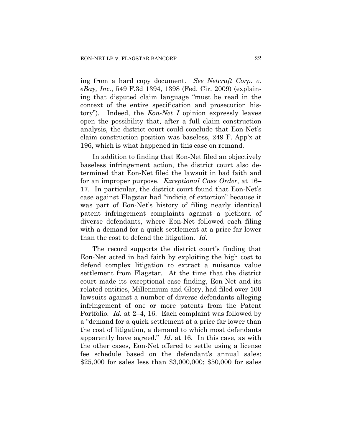ing from a hard copy document. *See Netcraft Corp. v. eBay, Inc.*, 549 F.3d 1394, 1398 (Fed. Cir. 2009) (explaining that disputed claim language "must be read in the context of the entire specification and prosecution history"). Indeed, the *Eon-Net I* opinion expressly leaves open the possibility that, after a full claim construction analysis, the district court could conclude that Eon-Net's claim construction position was baseless, 249 F. App'x at 196, which is what happened in this case on remand.

In addition to finding that Eon-Net filed an objectively baseless infringement action, the district court also determined that Eon-Net filed the lawsuit in bad faith and for an improper purpose. *Exceptional Case Order*, at 16– 17. In particular, the district court found that Eon-Net's case against Flagstar had "indicia of extortion" because it was part of Eon-Net's history of filing nearly identical patent infringement complaints against a plethora of diverse defendants, where Eon-Net followed each filing with a demand for a quick settlement at a price far lower than the cost to defend the litigation. *Id.*

The record supports the district court's finding that Eon-Net acted in bad faith by exploiting the high cost to defend complex litigation to extract a nuisance value settlement from Flagstar. At the time that the district court made its exceptional case finding, Eon-Net and its related entities, Millennium and Glory, had filed over 100 lawsuits against a number of diverse defendants alleging infringement of one or more patents from the Patent Portfolio. *Id.* at 2–4, 16. Each complaint was followed by a "demand for a quick settlement at a price far lower than the cost of litigation, a demand to which most defendants apparently have agreed." *Id.* at 16. In this case, as with the other cases, Eon-Net offered to settle using a license fee schedule based on the defendant's annual sales: \$25,000 for sales less than \$3,000,000; \$50,000 for sales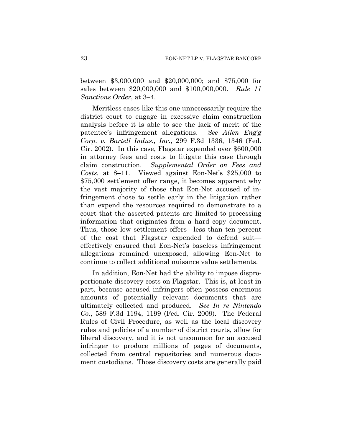between \$3,000,000 and \$20,000,000; and \$75,000 for sales between \$20,000,000 and \$100,000,000. *Rule 11 Sanctions Order*, at 3–4.

Meritless cases like this one unnecessarily require the district court to engage in excessive claim construction analysis before it is able to see the lack of merit of the patentee's infringement allegations. *See Allen Eng'g Corp. v. Bartell Indus., Inc.*, 299 F.3d 1336, 1346 (Fed. Cir. 2002). In this case, Flagstar expended over \$600,000 in attorney fees and costs to litigate this case through claim construction. *Supplemental Order on Fees and Costs*, at 8–11. Viewed against Eon-Net's \$25,000 to \$75,000 settlement offer range, it becomes apparent why the vast majority of those that Eon-Net accused of infringement chose to settle early in the litigation rather than expend the resources required to demonstrate to a court that the asserted patents are limited to processing information that originates from a hard copy document. Thus, those low settlement offers—less than ten percent of the cost that Flagstar expended to defend suit effectively ensured that Eon-Net's baseless infringement allegations remained unexposed, allowing Eon-Net to continue to collect additional nuisance value settlements.

In addition, Eon-Net had the ability to impose disproportionate discovery costs on Flagstar. This is, at least in part, because accused infringers often possess enormous amounts of potentially relevant documents that are ultimately collected and produced. *See In re Nintendo Co.*, 589 F.3d 1194, 1199 (Fed. Cir. 2009). The Federal Rules of Civil Procedure, as well as the local discovery rules and policies of a number of district courts, allow for liberal discovery, and it is not uncommon for an accused infringer to produce millions of pages of documents, collected from central repositories and numerous document custodians. Those discovery costs are generally paid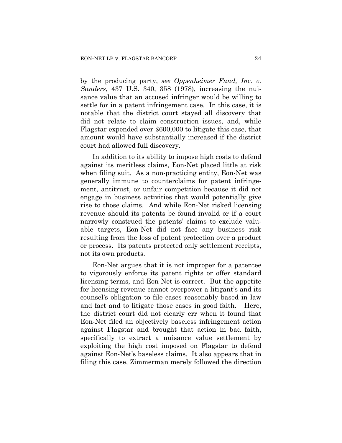by the producing party, *see Oppenheimer Fund, Inc. v. Sanders*, 437 U.S. 340, 358 (1978), increasing the nuisance value that an accused infringer would be willing to settle for in a patent infringement case. In this case, it is notable that the district court stayed all discovery that did not relate to claim construction issues, and, while Flagstar expended over \$600,000 to litigate this case, that amount would have substantially increased if the district court had allowed full discovery.

In addition to its ability to impose high costs to defend against its meritless claims, Eon-Net placed little at risk when filing suit. As a non-practicing entity, Eon-Net was generally immune to counterclaims for patent infringement, antitrust, or unfair competition because it did not engage in business activities that would potentially give rise to those claims. And while Eon-Net risked licensing revenue should its patents be found invalid or if a court narrowly construed the patents' claims to exclude valuable targets, Eon-Net did not face any business risk resulting from the loss of patent protection over a product or process. Its patents protected only settlement receipts, not its own products.

Eon-Net argues that it is not improper for a patentee to vigorously enforce its patent rights or offer standard licensing terms, and Eon-Net is correct. But the appetite for licensing revenue cannot overpower a litigant's and its counsel's obligation to file cases reasonably based in law and fact and to litigate those cases in good faith. Here, the district court did not clearly err when it found that Eon-Net filed an objectively baseless infringement action against Flagstar and brought that action in bad faith, specifically to extract a nuisance value settlement by exploiting the high cost imposed on Flagstar to defend against Eon-Net's baseless claims. It also appears that in filing this case, Zimmerman merely followed the direction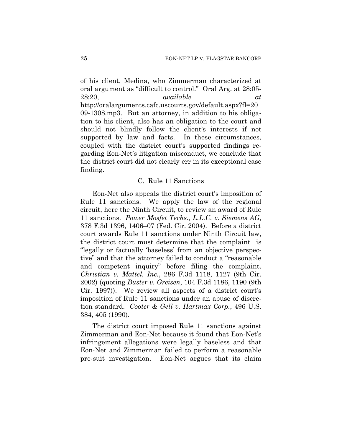of his client, Medina, who Zimmerman characterized at oral argument as "difficult to control." Oral Arg. at 28:05- 28:20, *available at* http://oralarguments.cafc.uscourts.gov/default.aspx?fl=20 09-1308.mp3. But an attorney, in addition to his obligation to his client, also has an obligation to the court and should not blindly follow the client's interests if not supported by law and facts. In these circumstances, coupled with the district court's supported findings regarding Eon-Net's litigation misconduct, we conclude that the district court did not clearly err in its exceptional case finding.

## C. Rule 11 Sanctions

Eon-Net also appeals the district court's imposition of Rule 11 sanctions. We apply the law of the regional circuit, here the Ninth Circuit, to review an award of Rule 11 sanctions. *Power Mosfet Techs., L.L.C. v. Siemens AG*, 378 F.3d 1396, 1406–07 (Fed. Cir. 2004). Before a district court awards Rule 11 sanctions under Ninth Circuit law, the district court must determine that the complaint is "legally or factually 'baseless' from an objective perspective" and that the attorney failed to conduct a "reasonable and competent inquiry" before filing the complaint. *Christian v. Mattel, Inc.*, 286 F.3d 1118, 1127 (9th Cir. 2002) (quoting *Buster v. Greisen*, 104 F.3d 1186, 1190 (9th Cir. 1997)). We review all aspects of a district court's imposition of Rule 11 sanctions under an abuse of discretion standard. *Cooter & Gell v. Hartmax Corp.*, 496 U.S. 384, 405 (1990).

The district court imposed Rule 11 sanctions against Zimmerman and Eon-Net because it found that Eon-Net's infringement allegations were legally baseless and that Eon-Net and Zimmerman failed to perform a reasonable pre-suit investigation. Eon-Net argues that its claim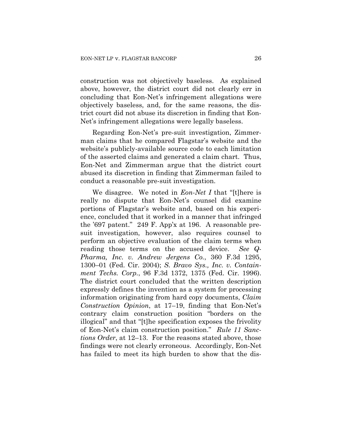construction was not objectively baseless. As explained above, however, the district court did not clearly err in concluding that Eon-Net's infringement allegations were objectively baseless, and, for the same reasons, the district court did not abuse its discretion in finding that Eon-Net's infringement allegations were legally baseless.

Regarding Eon-Net's pre-suit investigation, Zimmerman claims that he compared Flagstar's website and the website's publicly-available source code to each limitation of the asserted claims and generated a claim chart. Thus, Eon-Net and Zimmerman argue that the district court abused its discretion in finding that Zimmerman failed to conduct a reasonable pre-suit investigation.

We disagree. We noted in *Eon-Net I* that "[t]here is really no dispute that Eon-Net's counsel did examine portions of Flagstar's website and, based on his experience, concluded that it worked in a manner that infringed the '697 patent." 249 F. App'x at 196. A reasonable presuit investigation, however, also requires counsel to perform an objective evaluation of the claim terms when reading those terms on the accused device. *See Q-Pharma, Inc. v. Andrew Jergens Co.*, 360 F.3d 1295, 1300–01 (Fed. Cir. 2004); *S. Bravo Sys., Inc. v. Containment Techs. Corp.*, 96 F.3d 1372, 1375 (Fed. Cir. 1996). The district court concluded that the written description expressly defines the invention as a system for processing information originating from hard copy documents, *Claim Construction Opinion*, at 17–19, finding that Eon-Net's contrary claim construction position "borders on the illogical" and that "[t]he specification exposes the frivolity of Eon-Net's claim construction position." *Rule 11 Sanctions Order*, at 12–13. For the reasons stated above, those findings were not clearly erroneous. Accordingly, Eon-Net has failed to meet its high burden to show that the dis